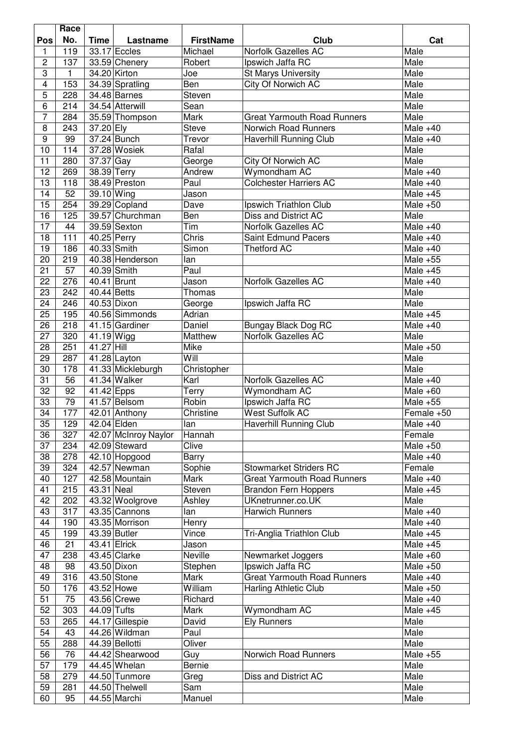|                         | Race |                        |                           |                  |                                    |            |
|-------------------------|------|------------------------|---------------------------|------------------|------------------------------------|------------|
| Pos                     | No.  | <b>Time</b>            | Lastname                  | <b>FirstName</b> | Club                               | Cat        |
| 1                       | 119  |                        | 33.17 Eccles              | Michael          | Norfolk Gazelles AC                | Male       |
| $\overline{2}$          | 137  |                        | 33.59 Chenery             | Robert           | Ipswich Jaffa RC                   | Male       |
| 3                       | 1    |                        | 34.20 Kirton              | Joe              | <b>St Marys University</b>         | Male       |
| $\overline{\mathbf{4}}$ | 153  |                        | 34.39 Spratling           | Ben              | City Of Norwich AC                 | Male       |
| $\overline{5}$          | 228  |                        | 34.48 Barnes              | Steven           |                                    | Male       |
| $\overline{6}$          | 214  |                        | 34.54 Atterwill           | Sean             |                                    | Male       |
|                         |      |                        |                           |                  |                                    |            |
| $\overline{7}$          | 284  |                        | 35.59 Thompson            | <b>Mark</b>      | <b>Great Yarmouth Road Runners</b> | Male       |
| 8                       | 243  | 37.20 Ely              |                           | <b>Steve</b>     | Norwich Road Runners               | Male $+40$ |
| $\boldsymbol{9}$        | 99   |                        | 37.24 Bunch               | Trevor           | Haverhill Running Club             | Male $+40$ |
| 10                      | 114  |                        | 37.28 Wosiek              | Rafal            |                                    | Male       |
| 11                      | 280  | $\overline{37.37}$ Gay |                           | George           | City Of Norwich AC                 | Male       |
| $\overline{12}$         | 269  | 38.39 Terry            |                           | Andrew           | Wymondham AC                       | Male $+40$ |
| 13                      | 118  |                        | 38.49 Preston             | Paul             | <b>Colchester Harriers AC</b>      | Male $+40$ |
| 14                      | 52   | 39.10 Wing             |                           | Jason            |                                    | Male $+45$ |
| 15                      | 254  |                        | 39.29 Copland             | Dave             | Ipswich Triathlon Club             | Male $+50$ |
| 16                      | 125  |                        | 39.57 Churchman           | Ben              | Diss and District AC               | Male       |
| 17                      | 44   |                        | 39.59 Sexton              | Tim              | Norfolk Gazelles AC                | Male $+40$ |
| 18                      | 111  | 40.25 Perry            |                           | Chris            | Saint Edmund Pacers                | Male $+40$ |
| 19                      | 186  |                        | 40.33 Smith               | Simon            | <b>Thetford AC</b>                 | Male $+40$ |
| 20                      | 219  |                        | 40.38 Henderson           | lan              |                                    | Male $+55$ |
| 21                      | 57   |                        | 40.39 Smith               | Paul             |                                    | Male $+45$ |
| 22                      | 276  | 40.41 Brunt            |                           | Jason            | Norfolk Gazelles AC                | Male $+40$ |
| 23                      | 242  | 40.44 Betts            |                           | Thomas           |                                    | Male       |
| 24                      | 246  |                        | 40.53 Dixon               | George           | Ipswich Jaffa RC                   | Male       |
|                         |      |                        |                           |                  |                                    |            |
| 25                      | 195  |                        | 40.56 Simmonds            | Adrian           |                                    | Male $+45$ |
| 26                      | 218  |                        | 41.15 Gardiner            | Daniel           | <b>Bungay Black Dog RC</b>         | Male $+40$ |
| 27                      | 320  | 41.19 Wigg             |                           | Matthew          | <b>Norfolk Gazelles AC</b>         | Male       |
| 28                      | 251  | 41.27 Hill             |                           | Mike             |                                    | Male $+50$ |
| 29                      | 287  |                        | $\overline{41.28}$ Layton | Will             |                                    | Male       |
| 30                      | 178  |                        | 41.33 Mickleburgh         | Christopher      |                                    | Male       |
| 31                      | 56   |                        | 41.34 Walker              | Karl             | Norfolk Gazelles AC                | Male $+40$ |
| 32                      | 92   | $41.42$ Epps           |                           | Terry            | Wymondham AC                       | Male $+60$ |
| $\overline{33}$         | 79   |                        | 41.57 Belsom              | Robin            | Ipswich Jaffa RC                   | Male $+55$ |
| 34                      | 177  |                        | 42.01 Anthony             | Christine        | <b>West Suffolk AC</b>             | Female +50 |
| $\overline{35}$         | 129  |                        | 42.04 Elden               | lan              | <b>Haverhill Running Club</b>      | Male $+40$ |
| 36                      | 327  |                        | 42.07 McInroy Naylor      | Hannah           |                                    | Female     |
| 37                      | 234  |                        | 42.09 Steward             | Clive            |                                    | Male $+50$ |
| 38                      | 278  |                        | 42.10 Hopgood             | <b>Barry</b>     |                                    | Male $+40$ |
| 39                      | 324  |                        | 42.57 Newman              | Sophie           | <b>Stowmarket Striders RC</b>      | Female     |
| 40                      | 127  |                        | 42.58 Mountain            | Mark             | <b>Great Yarmouth Road Runners</b> | Male $+40$ |
| 41                      | 215  | 43.31 Neal             |                           | Steven           | <b>Brandon Fern Hoppers</b>        | Male $+45$ |
| 42                      | 202  |                        | 43.32 Woolgrove           | Ashley           | UKnetrunner.co.UK                  | Male       |
| 43                      | 317  |                        | 43.35 Cannons             | lan              | <b>Harwich Runners</b>             | Male $+40$ |
| 44                      | 190  |                        | 43.35 Morrison            | Henry            |                                    | Male $+40$ |
| 45                      | 199  |                        | 43.39 Butler              | Vince            | Tri-Anglia Triathlon Club          | Male $+45$ |
| 46                      | 21   |                        | 43.41 Elrick              | Jason            |                                    | Male $+45$ |
| 47                      | 238  |                        | 43.45 Clarke              | Neville          | Newmarket Joggers                  | Male $+60$ |
| 48                      | 98   |                        | 43.50 Dixon               |                  | Ipswich Jaffa RC                   | Male $+50$ |
|                         |      |                        |                           | Stephen          |                                    |            |
| 49                      | 316  |                        | 43.50 Stone               | Mark             | <b>Great Yarmouth Road Runners</b> | Male $+40$ |
| 50                      | 176  |                        | 43.52 Howe                | William          | Harling Athletic Club              | Male $+50$ |
| 51                      | 75   |                        | 43.56 Crewe               | Richard          |                                    | Male $+40$ |
| 52                      | 303  | 44.09 Tufts            |                           | Mark             | Wymondham AC                       | Male $+45$ |
| 53                      | 265  |                        | 44.17 Gillespie           | David            | <b>Ely Runners</b>                 | Male       |
| 54                      | 43   |                        | 44.26 Wildman             | Paul             |                                    | Male       |
| 55                      | 288  |                        | 44.39 Bellotti            | Oliver           |                                    | Male       |
| 56                      | 76   |                        | 44.42 Shearwood           | Guy              | Norwich Road Runners               | Male $+55$ |
| 57                      | 179  |                        | 44.45 Whelan              | Bernie           |                                    | Male       |
| 58                      | 279  |                        | 44.50 Tunmore             | Greg             | Diss and District AC               | Male       |
| 59                      | 281  |                        | 44.50 Thelwell            | Sam              |                                    | Male       |
| 60                      | 95   |                        | 44.55 Marchi              | Manuel           |                                    | Male       |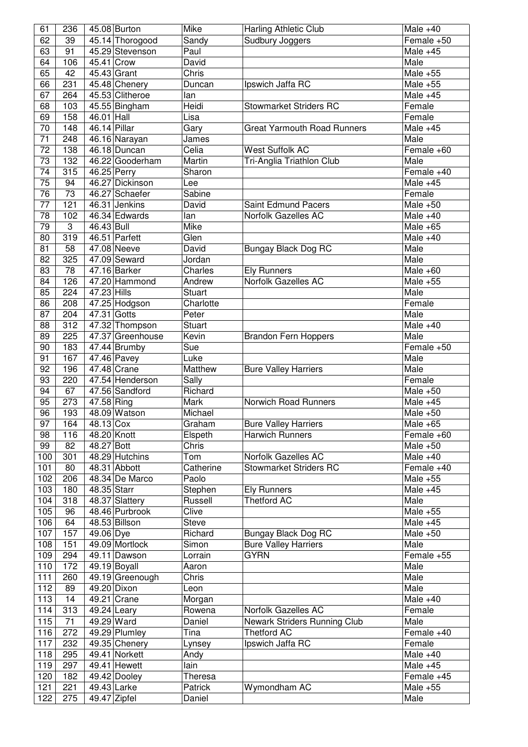| 61              | 236             |                        | 45.08 Burton                  | Mike              | Harling Athletic Club              | Male $+40$                   |
|-----------------|-----------------|------------------------|-------------------------------|-------------------|------------------------------------|------------------------------|
| 62              | 39              |                        | 45.14 Thorogood               | Sandy             | Sudbury Joggers                    | Female +50                   |
| 63              | 91              |                        | 45.29 Stevenson               | Paul              |                                    | Male $+45$                   |
| 64              | 106             | 45.41 Crow             |                               | David             |                                    | Male                         |
| 65              | 42              |                        | 45.43 Grant                   | Chris             |                                    | Male $+55$                   |
| 66              | 231             |                        | 45.48 Chenery                 | Duncan            | Ipswich Jaffa RC                   | Male $+55$                   |
| 67              | 264             |                        | 45.53 Clitheroe               | lan               |                                    | Male $+45$                   |
| 68              | 103             |                        | 45.55 Bingham                 | Heidi             | <b>Stowmarket Striders RC</b>      | Female                       |
| 69              | 158             | 46.01 Hall             |                               | Lisa              |                                    | Female                       |
| 70              | 148             | 46.14 Pillar           |                               | Gary              | <b>Great Yarmouth Road Runners</b> | Male $+45$                   |
| 71              |                 |                        |                               |                   |                                    | Male                         |
|                 | 248             |                        | 46.16 Narayan                 | James             |                                    | Female +60                   |
| 72              | 138             |                        | 46.18 Duncan                  | Celia             | West Suffolk AC                    |                              |
| 73              | 132             |                        | 46.22 Gooderham               | Martin            | Tri-Anglia Triathlon Club          | Male                         |
| 74              | 315             |                        | 46.25 Perry                   | Sharon            |                                    | Female +40                   |
| $\overline{75}$ | 94              |                        | 46.27 Dickinson               | Lee               |                                    | Male $+45$                   |
| $\overline{76}$ | $\overline{73}$ |                        | 46.27 Schaefer                | Sabine            |                                    | Female                       |
| 77              | 121             |                        | 46.31 Jenkins                 | David             | <b>Saint Edmund Pacers</b>         | Male $+50$                   |
| 78              | 102             |                        | 46.34 Edwards                 | lan               | Norfolk Gazelles AC                | Male $+40$                   |
| 79              | 3               | 46.43 Bull             |                               | Mike              |                                    | Male $+65$                   |
| 80              | 319             |                        | 46.51 Parfett                 | Glen              |                                    | Male $+40$                   |
| 81              | 58              |                        | 47.08 Neeve                   | David             | Bungay Black Dog RC                | Male                         |
| 82              | 325             |                        | 47.09 Seward                  | Jordan            |                                    | Male                         |
| 83              | 78              |                        | 47.16 Barker                  | Charles           | <b>Ely Runners</b>                 | Male $+60$                   |
| 84              | 126             |                        | 47.20 Hammond                 | Andrew            | Norfolk Gazelles AC                | Male $+55$                   |
|                 |                 |                        |                               |                   |                                    |                              |
| 85              | 224             | 47.23 Hills            |                               | <b>Stuart</b>     |                                    | Male                         |
| 86              | 208             |                        | 47.25 Hodgson                 | Charlotte         |                                    | Female                       |
| 87              | 204             | 47.31 Gotts            |                               | Peter             |                                    | Male                         |
| 88              | 312             |                        | 47.32 Thompson                | <b>Stuart</b>     |                                    | Male $+40$                   |
| 89              | 225             |                        | 47.37 Greenhouse              | Kevin             | <b>Brandon Fern Hoppers</b>        | Male                         |
| 90              | 183             |                        | 47.44 Brumby                  | Sue               |                                    | Female +50                   |
| 91              | 167             |                        | 47.46 Pavey                   | Luke              |                                    | Male                         |
| 92              | 196             |                        | 47.48 Crane                   | Matthew           | <b>Bure Valley Harriers</b>        | Male                         |
| 93              | 220             |                        | 47.54 Henderson               | Sally             |                                    | Female                       |
| 94              | 67              |                        | 47.56 Sandford                | Richard           |                                    | Male $+50$                   |
| 95              | 273             | 47.58 Ring             |                               | <b>Mark</b>       | Norwich Road Runners               | Male $+45$                   |
| 96              | 193             |                        | 48.09 Watson                  | Michael           |                                    | Male $+50$                   |
| $\overline{97}$ | 164             | 48.13 Cox              |                               | Graham            | <b>Bure Valley Harriers</b>        | Male $+65$                   |
| 98              | 116             | 48.20 Knott            |                               | Elspeth           | <b>Harwich Runners</b>             | Female +60                   |
| 99              | 82              | 48.27 Bott             |                               | Chris             |                                    | Male $+50$                   |
|                 |                 |                        | 48.29 Hutchins                | Tom               | Norfolk Gazelles AC                | Male $+40$                   |
| 100             | 301             |                        |                               |                   |                                    |                              |
| 101             | 80              |                        | 48.31 Abbott                  | Catherine         | <b>Stowmarket Striders RC</b>      | Female +40                   |
| 102             | 206             |                        | 48.34 De Marco                | Paolo             |                                    | Male $+55$                   |
| 103             | 180             | 48.35 Starr            |                               | Stephen           | <b>Ely Runners</b>                 | $\overline{\text{Male}}$ +45 |
| 104             | 318             |                        | 48.37 Slattery                | Russell           | <b>Thetford AC</b>                 | Male                         |
| 105             | 96              |                        | 48.46 Purbrook                | Clive             |                                    | Male $+55$                   |
| 106             |                 |                        |                               |                   |                                    |                              |
| 107             | 64              |                        | 48.53 Billson                 | <b>Steve</b>      |                                    | Male $+45$                   |
|                 | 157             | $\overline{49.06}$ Dye |                               | Richard           | Bungay Black Dog RC                | Male $+50$                   |
| 108             | 151             |                        | 49.09 Mortlock                | Simon             | <b>Bure Valley Harriers</b>        | Male                         |
| 109             | 294             |                        | 49.11 Dawson                  | Lorrain           | <b>GYRN</b>                        | Female +55                   |
| 110             | 172             |                        | $\overline{49.}19$ Boyall     | Aaron             |                                    | Male                         |
|                 |                 |                        |                               | Chris             |                                    | Male                         |
| 111             | 260             |                        | 49.19 Greenough               |                   |                                    |                              |
| 112             | 89              |                        | 49.20 Dixon                   | Leon              |                                    | Male                         |
| 113             | 14              |                        | 49.21 Crane                   | Morgan            |                                    | Male $+40$                   |
| 114             | 313             |                        | 49.24 Leary                   | Rowena            | Norfolk Gazelles AC                | Female                       |
| 115             | 71              |                        | 49.29 Ward                    | Daniel            | Newark Striders Running Club       | Male                         |
| 116             | 272             |                        | 49.29 Plumley                 | Tina              | <b>Thetford AC</b>                 | Female +40                   |
| 117             | 232             |                        | 49.35 Chenery                 | Lynsey            | Ipswich Jaffa RC                   | Female                       |
| 118             | 295             |                        | 49.41 Norkett                 | Andy              |                                    | Male $+40$                   |
| 119             | 297             |                        | 49.41 Hewett                  | lain              |                                    | Male $+45$                   |
| 120             | 182             |                        | 49.42 Dooley                  | Theresa           |                                    | Female +45                   |
| 121<br>122      | 221<br>275      |                        | 49.43 Larke<br>$49.47$ Zipfel | Patrick<br>Daniel | Wymondham AC                       | Male $+55$<br>Male           |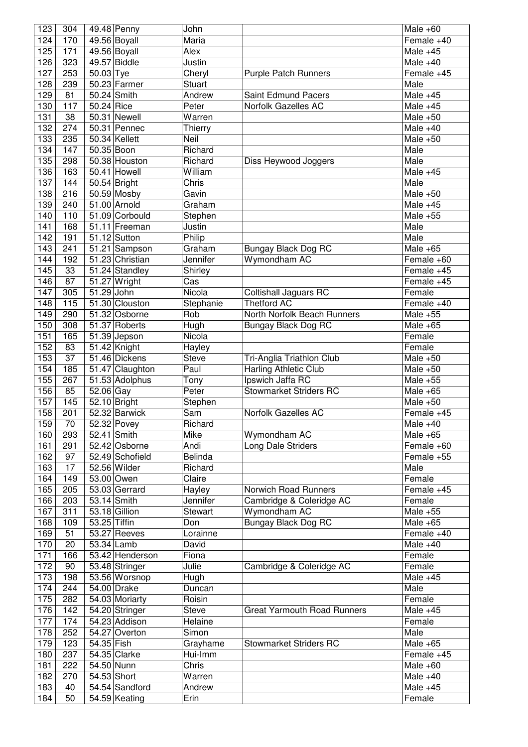| 123 | 304              |              | 49.48 Penny     | John           |                                    | Male $+60$                    |
|-----|------------------|--------------|-----------------|----------------|------------------------------------|-------------------------------|
| 124 | 170              |              | 49.56 Boyall    | Maria          |                                    | Female +40                    |
| 125 | 171              |              | 49.56 Boyall    | Alex           |                                    | Male $+45$                    |
| 126 | 323              |              | 49.57 Biddle    | Justin         |                                    | Male $+40$                    |
| 127 | 253              | 50.03 Tye    |                 | Cheryl         | <b>Purple Patch Runners</b>        | Female +45                    |
| 128 | 239              |              | $50.23$ Farmer  | <b>Stuart</b>  |                                    | Male                          |
| 129 | 81               |              | 50.24 Smith     | Andrew         | <b>Saint Edmund Pacers</b>         | Male $+45$                    |
| 130 | $\overline{11}7$ | 50.24 Rice   |                 | Peter          | Norfolk Gazelles AC                | Male $+45$                    |
| 131 | 38               |              | 50.31 Newell    | Warren         |                                    | Male $+50$                    |
| 132 | 274              |              | 50.31 Pennec    | Thierry        |                                    | Male $+40$                    |
| 133 | 235              |              | 50.34 Kellett   | Neil           |                                    | Male $+50$                    |
| 134 | 147              | 50.35 Boon   |                 | Richard        |                                    | Male                          |
| 135 | 298              |              | 50.38 Houston   | Richard        | Diss Heywood Joggers               | Male                          |
| 136 | 163              |              | 50.41 Howell    | William        |                                    | Male $+45$                    |
| 137 | 144              |              | 50.54 Bright    | Chris          |                                    | Male                          |
| 138 | 216              |              | 50.59 Mosby     | Gavin          |                                    | Male $+50$                    |
| 139 | 240              |              | 51.00 Arnold    | Graham         |                                    | Male $+45$                    |
| 140 | 110              |              | 51.09 Corbould  | Stephen        |                                    | Male $+55$                    |
| 141 | 168              |              | 51.11 Freeman   | Justin         |                                    | Male                          |
| 142 | 191              |              | 51.12 Sutton    | Philip         |                                    | Male                          |
| 143 | 241              |              | 51.21 Sampson   | Graham         | <b>Bungay Black Dog RC</b>         | Male $+65$                    |
| 144 | 192              |              | 51.23 Christian | Jennifer       | Wymondham AC                       | Female +60                    |
| 145 | 33               |              | 51.24 Standley  | Shirley        |                                    | Female +45                    |
| 146 | 87               |              | 51.27 Wright    | Cas            |                                    | Female +45                    |
| 147 | 305              | 51.29 John   |                 | Nicola         | <b>Coltishall Jaguars RC</b>       | Female                        |
| 148 | 115              |              | 51.30 Clouston  | Stephanie      | <b>Thetford AC</b>                 | Female +40                    |
| 149 | 290              |              | 51.32 Osborne   | Rob            | North Norfolk Beach Runners        | Male $+55$                    |
| 150 | 308              |              | 51.37 Roberts   | Hugh           | Bungay Black Dog RC                | Male $+65$                    |
| 151 | 165              |              | 51.39 Jepson    | Nicola         |                                    | Female                        |
| 152 | 83               |              | 51.42 Knight    | Hayley         |                                    | Female                        |
| 153 | 37               |              | 51.46 Dickens   | <b>Steve</b>   | Tri-Anglia Triathlon Club          | Male $+50$                    |
| 154 | 185              |              | 51.47 Claughton | Paul           | Harling Athletic Club              | Male $+50$                    |
| 155 | 267              |              | 51.53 Adolphus  | Tony           | Ipswich Jaffa RC                   | Male $+55$                    |
| 156 | 85               | $52.06$ Gay  |                 | Peter          | <b>Stowmarket Striders RC</b>      | Male $+65$                    |
| 157 | 145              |              | 52.10 Bright    | Stephen        |                                    | Male $+50$                    |
| 158 | 201              |              | 52.32 Barwick   | Sam            | Norfolk Gazelles AC                | Female +45                    |
| 159 | 70               |              | 52.32 Povey     | Richard        |                                    | Male $+40$                    |
| 160 | 293              |              | $52.41$ Smith   | Mike           | Wymondham AC                       | Male $+65$                    |
| 161 | 291              |              | 52.42 Osborne   | Andi           | Long Dale Striders                 | Female +60                    |
| 162 | 97               |              | 52.49 Schofield | Belinda        |                                    | Female +55                    |
| 163 | 17               |              | 52.56 Wilder    | Richard        |                                    | Male                          |
| 164 | 149              |              | 53.00 Owen      | Claire         |                                    | Female                        |
| 165 | 205              |              | 53.03 Gerrard   | Hayley         | Norwich Road Runners               | Female +45                    |
| 166 | 203              |              | $53.14$ Smith   | Jennifer       | Cambridge & Coleridge AC           | Female                        |
| 167 | 311              |              | 53.18 $Gillion$ | <b>Stewart</b> | Wymondham AC                       | Male $+55$                    |
| 168 | 109              | 53.25 Tiffin |                 | Don            | <b>Bungay Black Dog RC</b>         | Male $+65$                    |
| 169 | 51               |              | 53.27 Reeves    | Lorainne       |                                    | Female +40                    |
| 170 | 20               |              | 53.34 Lamb      | David          |                                    | Male $+40$                    |
| 171 | 166              |              | 53.42 Henderson | Fiona          |                                    | Female                        |
| 172 | 90               |              | 53.48 Stringer  | Julie          | Cambridge & Coleridge AC           | Female                        |
| 173 | 198              |              | 53.56 Worsnop   | Hugh           |                                    | Male $+45$                    |
| 174 | 244              |              | 54.00 Drake     | Duncan         |                                    | Male                          |
| 175 | 282              |              | 54.03 Moriarty  | Roisin         |                                    | Female                        |
| 176 | 142              |              | 54.20 Stringer  | Steve          | <b>Great Yarmouth Road Runners</b> | Male $+45$                    |
| 177 | 174              |              | 54.23 Addison   | Helaine        |                                    | Female                        |
| 178 | 252              |              | 54.27 Overton   | Simon          |                                    | Male                          |
| 179 | 123              | 54.35 Fish   |                 | Grayhame       | <b>Stowmarket Striders RC</b>      | Male $+65$                    |
| 180 | 237              |              | 54.35 Clarke    | Hui-Imm        |                                    | Female +45                    |
| 181 | 222              |              | 54.50 Nunn      | Chris          |                                    | Male $+60$                    |
| 182 | 270              |              | 54.53 Short     | Warren         |                                    | $\overline{\text{Male}} + 40$ |
| 183 | 40               |              | 54.54 Sandford  | Andrew         |                                    | Male $+45$                    |
| 184 | 50               |              | 54.59 Keating   | Erin           |                                    | Female                        |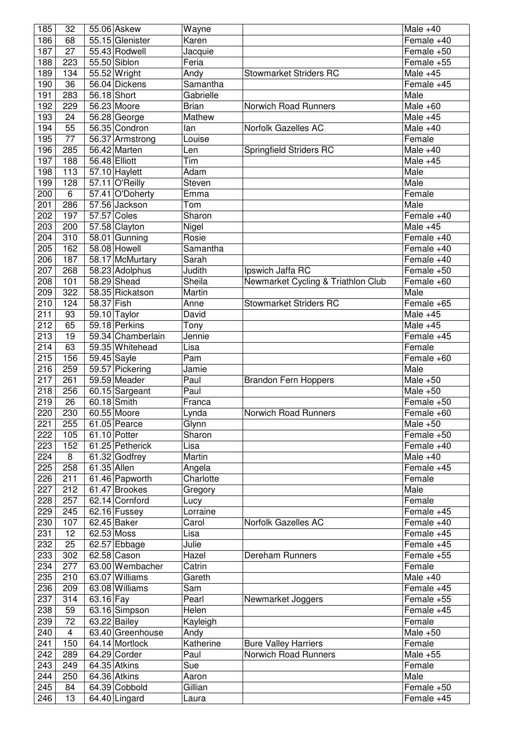| 185              | 32             |               | 55.06 Askew                    | Wayne            |                                    | Male $+40$               |
|------------------|----------------|---------------|--------------------------------|------------------|------------------------------------|--------------------------|
| 186              | 68             |               | 55.15 Glenister                | Karen            |                                    | Female +40               |
| 187              | 27             |               | 55.43 Rodwell                  | Jacquie          |                                    | Female +50               |
| 188              | 223            |               | 55.50 Siblon                   | Feria            |                                    | Female +55               |
| 189              | 134            |               | 55.52 Wright                   | Andy             | <b>Stowmarket Striders RC</b>      | Male $+45$               |
| 190              | 36             |               | 56.04 Dickens                  | Samantha         |                                    | Female +45               |
| 191              | 283            | 56.18 Short   |                                | Gabrielle        |                                    | Male                     |
| 192              | 229            |               | 56.23 Moore                    | <b>Brian</b>     | Norwich Road Runners               | Male $+60$               |
| 193              | 24             |               | $56.28$ George                 | Mathew           |                                    | Male $+45$               |
| 194              | 55             |               | 56.35 Condron                  | lan              | Norfolk Gazelles AC                | Male $+40$               |
| 195              | 77             |               |                                |                  |                                    |                          |
|                  |                |               | 56.37 Armstrong                | Louise           |                                    | Female                   |
| 196              | 285            |               | 56.42 Marten                   | Len              | Springfield Striders RC            | Male $+40$               |
| 197              | 188            | 56.48 Elliott |                                | Tim              |                                    | Male $+45$               |
| 198              | 113            |               | $57.10$ Haylett                | Adam             |                                    | Male                     |
| 199              | 128            |               | 57.11 O'Reilly                 | Steven           |                                    | Male                     |
| 200              | 6              |               | 57.41 O'Doherty                | Emma             |                                    | Female                   |
| 201              | 286            |               | 57.56 Jackson                  | Tom              |                                    | Male                     |
| 202              | 197            | 57.57 Coles   |                                | Sharon           |                                    | Female +40               |
| 203              | 200            |               | 57.58 Clayton                  | Nigel            |                                    | Male $+45$               |
| 204              | 310            |               | 58.01 Gunning                  | Rosie            |                                    | Female +40               |
| 205              | 162            |               | 58.08 Howell                   | Samantha         |                                    | Female +40               |
| 206              | 187            |               | 58.17 McMurtary                | Sarah            |                                    | Female +40               |
| 207              | 268            |               | 58.23 Adolphus                 | Judith           | Ipswich Jaffa RC                   | Female +50               |
| 208              | 101            |               | 58.29 Shead                    | Sheila           | Newmarket Cycling & Triathlon Club | Female +60               |
| 209              | 322            |               | 58.35 Rickatson                | Martin           |                                    | Male                     |
| 210              | 124            | 58.37 Fish    |                                |                  | <b>Stowmarket Striders RC</b>      | Female +65               |
|                  |                |               |                                | Anne             |                                    |                          |
| 211              | 93             |               | 59.10 Taylor                   | David            |                                    | Male $+45$               |
| $\overline{212}$ | 65             |               | 59.18 Perkins                  | Tony             |                                    | Male $+45$               |
| 213              | 19             |               | 59.34 Chamberlain              | Jennie           |                                    | Female +45               |
| 214              | 63             |               | 59.35 Whitehead                | Lisa             |                                    | Female                   |
| 215              | 156            | 59.45 Sayle   |                                | Pam              |                                    | Female +60               |
| 216              | 259            |               | 59.57 Pickering                | Jamie            |                                    | Male                     |
| 217              | 261            |               | 59.59 Meader                   | Paul             | <b>Brandon Fern Hoppers</b>        | Male $+50$               |
| 218              | 256            |               | 60.15 Sargeant                 | Paul             |                                    | Male $+50$               |
| 219              | 26             |               | 60.18 Smith                    | Franca           |                                    | Female +50               |
| 220              | 230            |               | 60.55 Moore                    | Lynda            | Norwich Road Runners               | Female +60               |
|                  |                |               |                                |                  |                                    |                          |
|                  |                | 61.05 Pearce  |                                |                  |                                    | Male $+50$               |
| 221              | 255            |               |                                | Glynn            |                                    |                          |
| 222              | 105            |               | 61.10 Potter                   | Sharon           |                                    | Female +50               |
| 223              | 152            |               | 61.25 Petherick                | Lisa             |                                    | Female +40               |
| 224              | 8              |               | 61.32 Godfrey                  | Martin           |                                    | Male $+40$               |
| 225              | 258            | 61.35 Allen   |                                | Angela           |                                    | Female +45               |
| 226              | 211            |               | 61.46 Papworth                 | Charlotte        |                                    | Female                   |
| 227              | 212            |               | 61.47 Brookes                  | Gregory          |                                    | Male                     |
| 228              | 257            |               | 62.14 Cornford                 | Lucy             |                                    | Female                   |
| 229              | 245            |               | $62.16$ Fussey                 | Lorraine         |                                    | Female +45               |
| 230              | 107            |               | 62.45 Baker                    | Carol            | Norfolk Gazelles AC                | Female +40               |
| 231              | 12             | 62.53 Moss    |                                | Lisa             |                                    | Female +45               |
| 232              | 25             |               | 62.57 Ebbage                   | Julie            |                                    | Female +45               |
| 233              | 302            |               | $62.58$ Cason                  | Hazel            | Dereham Runners                    | Female +55               |
| 234              | 277            |               | 63.00 Wembacher                | Catrin           |                                    | Female                   |
| 235              | 210            |               | 63.07 Williams                 | Gareth           |                                    | Male $+40$               |
| 236              | 209            |               | 63.08 Williams                 | Sam              |                                    | Female +45               |
| 237              | 314            | 63.16 Fay     |                                | Pearl            | Newmarket Joggers                  | Female +55               |
| 238              | 59             |               | 63.16 Simpson                  | Helen            |                                    | Female +45               |
| 239              | 72             |               |                                |                  |                                    | Female                   |
|                  |                |               | $63.22$ Bailey                 | Kayleigh         |                                    |                          |
| 240              | $\overline{4}$ |               | 63.40 Greenhouse               | Andy             |                                    | Male $+50$               |
| 241              | 150            |               | 64.14 Mortlock                 | Katherine        | <b>Bure Valley Harriers</b>        | Female                   |
| 242              | 289            |               | 64.29 Corder                   | Paul             | Norwich Road Runners               | Male $+55$               |
| 243              | 249            |               | 64.35 Atkins                   | Sue              |                                    | Female                   |
| 244              | 250            |               | 64.36 Atkins                   | Aaron            |                                    | Male                     |
| 245<br>246       | 84<br>13       |               | 64.39 Cobbold<br>64.40 Lingard | Gillian<br>Laura |                                    | Female +50<br>Female +45 |